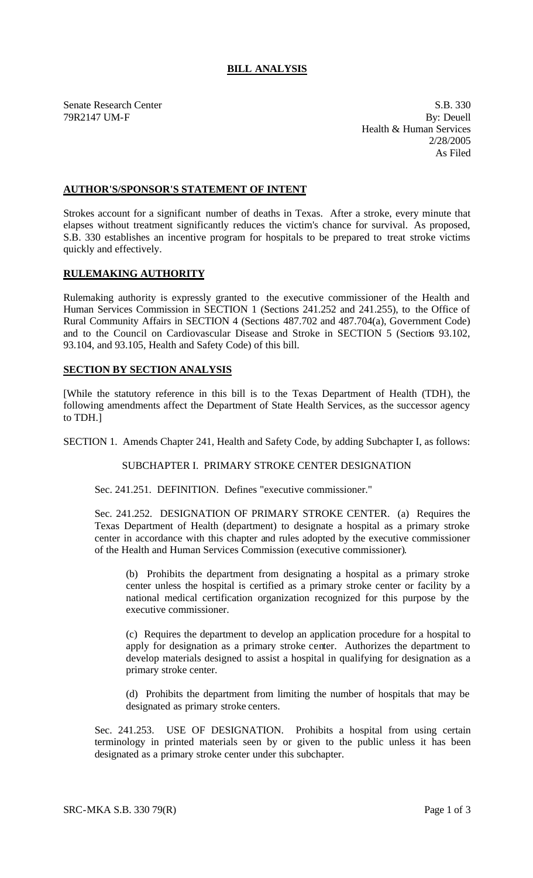## **BILL ANALYSIS**

Senate Research Center S.B. 330 79R2147 UM-F By: Deuell Health & Human Services 2/28/2005 As Filed

## **AUTHOR'S/SPONSOR'S STATEMENT OF INTENT**

Strokes account for a significant number of deaths in Texas. After a stroke, every minute that elapses without treatment significantly reduces the victim's chance for survival. As proposed, S.B. 330 establishes an incentive program for hospitals to be prepared to treat stroke victims quickly and effectively.

#### **RULEMAKING AUTHORITY**

Rulemaking authority is expressly granted to the executive commissioner of the Health and Human Services Commission in SECTION 1 (Sections 241.252 and 241.255), to the Office of Rural Community Affairs in SECTION 4 (Sections 487.702 and 487.704(a), Government Code) and to the Council on Cardiovascular Disease and Stroke in SECTION 5 (Sections 93.102, 93.104, and 93.105, Health and Safety Code) of this bill.

## **SECTION BY SECTION ANALYSIS**

[While the statutory reference in this bill is to the Texas Department of Health (TDH), the following amendments affect the Department of State Health Services, as the successor agency to TDH.]

SECTION 1. Amends Chapter 241, Health and Safety Code, by adding Subchapter I, as follows:

SUBCHAPTER I. PRIMARY STROKE CENTER DESIGNATION

Sec. 241.251. DEFINITION. Defines "executive commissioner."

Sec. 241.252. DESIGNATION OF PRIMARY STROKE CENTER. (a) Requires the Texas Department of Health (department) to designate a hospital as a primary stroke center in accordance with this chapter and rules adopted by the executive commissioner of the Health and Human Services Commission (executive commissioner).

(b) Prohibits the department from designating a hospital as a primary stroke center unless the hospital is certified as a primary stroke center or facility by a national medical certification organization recognized for this purpose by the executive commissioner.

(c) Requires the department to develop an application procedure for a hospital to apply for designation as a primary stroke center. Authorizes the department to develop materials designed to assist a hospital in qualifying for designation as a primary stroke center.

(d) Prohibits the department from limiting the number of hospitals that may be designated as primary stroke centers.

Sec. 241.253. USE OF DESIGNATION. Prohibits a hospital from using certain terminology in printed materials seen by or given to the public unless it has been designated as a primary stroke center under this subchapter.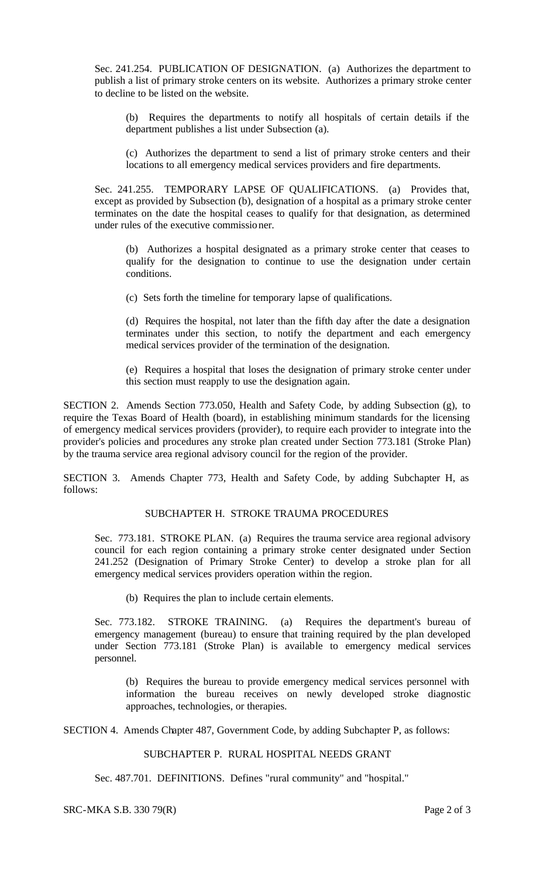Sec. 241.254. PUBLICATION OF DESIGNATION. (a) Authorizes the department to publish a list of primary stroke centers on its website. Authorizes a primary stroke center to decline to be listed on the website.

(b) Requires the departments to notify all hospitals of certain details if the department publishes a list under Subsection (a).

(c) Authorizes the department to send a list of primary stroke centers and their locations to all emergency medical services providers and fire departments.

Sec. 241.255. TEMPORARY LAPSE OF QUALIFICATIONS. (a) Provides that, except as provided by Subsection (b), designation of a hospital as a primary stroke center terminates on the date the hospital ceases to qualify for that designation, as determined under rules of the executive commissioner.

(b) Authorizes a hospital designated as a primary stroke center that ceases to qualify for the designation to continue to use the designation under certain conditions.

(c) Sets forth the timeline for temporary lapse of qualifications.

(d) Requires the hospital, not later than the fifth day after the date a designation terminates under this section, to notify the department and each emergency medical services provider of the termination of the designation.

(e) Requires a hospital that loses the designation of primary stroke center under this section must reapply to use the designation again.

SECTION 2. Amends Section 773.050, Health and Safety Code, by adding Subsection (g), to require the Texas Board of Health (board), in establishing minimum standards for the licensing of emergency medical services providers (provider), to require each provider to integrate into the provider's policies and procedures any stroke plan created under Section 773.181 (Stroke Plan) by the trauma service area regional advisory council for the region of the provider.

SECTION 3. Amends Chapter 773, Health and Safety Code, by adding Subchapter H, as follows:

## SUBCHAPTER H. STROKE TRAUMA PROCEDURES

Sec. 773.181. STROKE PLAN. (a) Requires the trauma service area regional advisory council for each region containing a primary stroke center designated under Section 241.252 (Designation of Primary Stroke Center) to develop a stroke plan for all emergency medical services providers operation within the region.

(b) Requires the plan to include certain elements.

Sec. 773.182. STROKE TRAINING. (a) Requires the department's bureau of emergency management (bureau) to ensure that training required by the plan developed under Section 773.181 (Stroke Plan) is available to emergency medical services personnel.

(b) Requires the bureau to provide emergency medical services personnel with information the bureau receives on newly developed stroke diagnostic approaches, technologies, or therapies.

SECTION 4. Amends Chapter 487, Government Code, by adding Subchapter P, as follows:

# SUBCHAPTER P. RURAL HOSPITAL NEEDS GRANT

Sec. 487.701. DEFINITIONS. Defines "rural community" and "hospital."